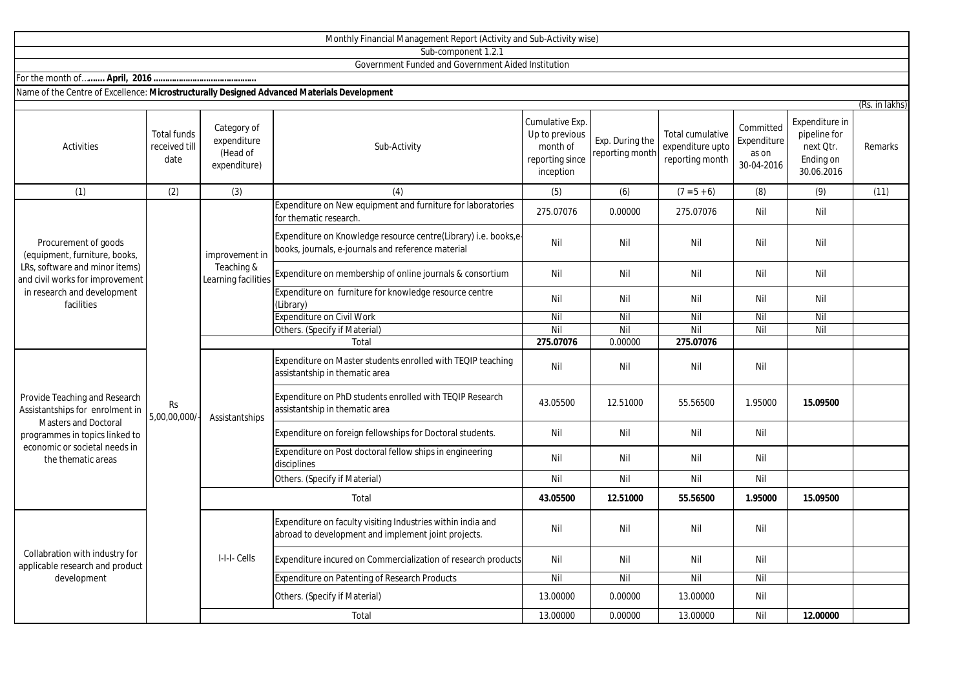| Sub-component 1.2.1                                                                                                                                                                      |                                             |                                                        |                                                                                                                       |                                                                               |                                    |                                                         |                                                 |                                                                        |         |  |  |
|------------------------------------------------------------------------------------------------------------------------------------------------------------------------------------------|---------------------------------------------|--------------------------------------------------------|-----------------------------------------------------------------------------------------------------------------------|-------------------------------------------------------------------------------|------------------------------------|---------------------------------------------------------|-------------------------------------------------|------------------------------------------------------------------------|---------|--|--|
| Government Funded and Government Aided Institution                                                                                                                                       |                                             |                                                        |                                                                                                                       |                                                                               |                                    |                                                         |                                                 |                                                                        |         |  |  |
|                                                                                                                                                                                          |                                             |                                                        |                                                                                                                       |                                                                               |                                    |                                                         |                                                 |                                                                        |         |  |  |
| Name of the Centre of Excellence: Microstructurally Designed Advanced Materials Development                                                                                              |                                             |                                                        |                                                                                                                       |                                                                               |                                    |                                                         |                                                 |                                                                        |         |  |  |
| (Rs. in lakhs)                                                                                                                                                                           |                                             |                                                        |                                                                                                                       |                                                                               |                                    |                                                         |                                                 |                                                                        |         |  |  |
| <b>Activities</b>                                                                                                                                                                        | <b>Total funds</b><br>received till<br>date | Category of<br>expenditure<br>(Head of<br>expenditure) | Sub-Activity                                                                                                          | Cumulative Exp.<br>Up to previous<br>month of<br>reporting since<br>inception | Exp. During the<br>reporting month | Total cumulative<br>expenditure upto<br>reporting month | Committed<br>Expenditure<br>as on<br>30-04-2016 | Expenditure in<br>pipeline for<br>next Qtr.<br>Ending on<br>30.06.2016 | Remarks |  |  |
| (1)                                                                                                                                                                                      | (2)                                         | (3)                                                    | (4)                                                                                                                   | (5)                                                                           | (6)                                | $(7 = 5 + 6)$                                           | (8)                                             | (9)                                                                    | (11)    |  |  |
| Procurement of goods<br>(equipment, furniture, books,<br>LRs, software and minor items)<br>and civil works for improvement<br>in research and development<br>facilities                  | Rs<br>5,00,00,000/                          | improvement in<br>Teaching &<br>Learning facilities    | Expenditure on New equipment and furniture for laboratories<br>for thematic research                                  | 275.07076                                                                     | 0.00000                            | 275.07076                                               | Nil                                             | Nil                                                                    |         |  |  |
|                                                                                                                                                                                          |                                             |                                                        | Expenditure on Knowledge resource centre(Library) i.e. books,e-<br>books, journals, e-journals and reference material | Nil                                                                           | Nil                                | Nil                                                     | Nil                                             | Nil                                                                    |         |  |  |
|                                                                                                                                                                                          |                                             |                                                        | Expenditure on membership of online journals & consortium                                                             | Nil                                                                           | Nil                                | Nil                                                     | Nil                                             | Nil                                                                    |         |  |  |
|                                                                                                                                                                                          |                                             |                                                        | Expenditure on furniture for knowledge resource centre<br>(Library)                                                   | Nil                                                                           | Nil                                | Nil                                                     | Nil                                             | Nil                                                                    |         |  |  |
|                                                                                                                                                                                          |                                             |                                                        | <b>Expenditure on Civil Work</b>                                                                                      | Nil                                                                           | Nil                                | Nil                                                     | Nil                                             | Nil                                                                    |         |  |  |
|                                                                                                                                                                                          |                                             |                                                        | Others. (Specify if Material)                                                                                         | Nil                                                                           | Nil                                | Nil                                                     | Nil                                             | Nil                                                                    |         |  |  |
|                                                                                                                                                                                          |                                             |                                                        | Total                                                                                                                 | 275.07076                                                                     | 0.00000                            | 275.07076                                               |                                                 |                                                                        |         |  |  |
| Provide Teaching and Research<br>Assistantships for enrolment in<br><b>Masters and Doctoral</b><br>programmes in topics linked to<br>economic or societal needs in<br>the thematic areas |                                             | Assistantships                                         | Expenditure on Master students enrolled with TEQIP teaching<br>assistantship in thematic area                         | Nil                                                                           | Nil                                | Nil                                                     | Nil                                             |                                                                        |         |  |  |
|                                                                                                                                                                                          |                                             |                                                        | Expenditure on PhD students enrolled with TEQIP Research<br>assistantship in thematic area                            | 43.05500                                                                      | 12.51000                           | 55.56500                                                | 1.95000                                         | 15.09500                                                               |         |  |  |
|                                                                                                                                                                                          |                                             |                                                        | Expenditure on foreign fellowships for Doctoral students.                                                             | Nil                                                                           | Nil                                | Nil                                                     | Nil                                             |                                                                        |         |  |  |
|                                                                                                                                                                                          |                                             |                                                        | Expenditure on Post doctoral fellow ships in engineering<br>disciplines                                               | Nil                                                                           | Nil                                | Nil                                                     | Nil                                             |                                                                        |         |  |  |
|                                                                                                                                                                                          |                                             |                                                        | Others. (Specify if Material)                                                                                         | Nil                                                                           | Nil                                | Nil                                                     | Nil                                             |                                                                        |         |  |  |
|                                                                                                                                                                                          |                                             | Total                                                  |                                                                                                                       | 43.05500                                                                      | 12.51000                           | 55.56500                                                | 1.95000                                         | 15.09500                                                               |         |  |  |
| Collabration with industry for<br>applicable research and product<br>development                                                                                                         |                                             | I-I-I- Cells                                           | Expenditure on faculty visiting Industries within india and<br>abroad to development and implement joint projects.    | Nil                                                                           | Nil                                | Nil                                                     | Nil                                             |                                                                        |         |  |  |
|                                                                                                                                                                                          |                                             |                                                        | Expenditure incured on Commercialization of research products                                                         | Nil                                                                           | Nil                                | Nil                                                     | Nil                                             |                                                                        |         |  |  |
|                                                                                                                                                                                          |                                             |                                                        | Expenditure on Patenting of Research Products                                                                         | Nil                                                                           | Nil                                | Nil                                                     | Nil                                             |                                                                        |         |  |  |
|                                                                                                                                                                                          |                                             |                                                        | Others. (Specify if Material)                                                                                         | 13.00000                                                                      | 0.00000                            | 13.00000                                                | Nil                                             |                                                                        |         |  |  |
|                                                                                                                                                                                          |                                             |                                                        | Total                                                                                                                 | 13.00000                                                                      | 0.00000                            | 13.00000                                                | Nil                                             | 12.00000                                                               |         |  |  |

Monthly Financial Management Report (Activity and Sub-Activity wise)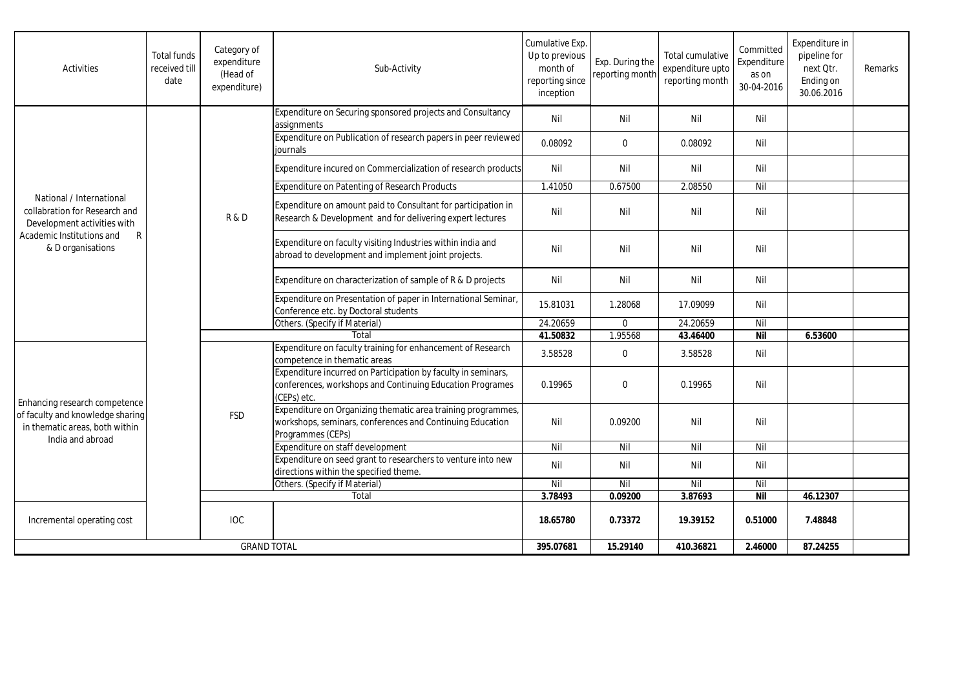| Activities                                                                                                                                      | <b>Total funds</b><br>received till<br>date | Category of<br>expenditure<br>(Head of<br>expenditure) | Sub-Activity                                                                                                                                   | Cumulative Exp.<br>Up to previous<br>month of<br>reporting since<br>inception | Exp. During the<br>reporting month | Total cumulative<br>expenditure upto<br>reporting month | Committed<br>Expenditure<br>as on<br>30-04-2016 | Expenditure in<br>pipeline for<br>next Otr.<br>Ending on<br>30.06.2016 | Remarks |
|-------------------------------------------------------------------------------------------------------------------------------------------------|---------------------------------------------|--------------------------------------------------------|------------------------------------------------------------------------------------------------------------------------------------------------|-------------------------------------------------------------------------------|------------------------------------|---------------------------------------------------------|-------------------------------------------------|------------------------------------------------------------------------|---------|
| National / International<br>collabration for Research and<br>Development activities with<br>Academic Institutions and<br>R<br>& D organisations |                                             | R&D                                                    | Expenditure on Securing sponsored projects and Consultancy<br>assignments                                                                      | Nil                                                                           | Nil                                | Nil                                                     | Nil                                             |                                                                        |         |
|                                                                                                                                                 |                                             |                                                        | Expenditure on Publication of research papers in peer reviewed<br>iournals                                                                     | 0.08092                                                                       | $\mathbf 0$                        | 0.08092                                                 | Nil                                             |                                                                        |         |
|                                                                                                                                                 |                                             |                                                        | Expenditure incured on Commercialization of research products                                                                                  | Nil                                                                           | Nil                                | Nil                                                     | Nil                                             |                                                                        |         |
|                                                                                                                                                 |                                             |                                                        | Expenditure on Patenting of Research Products                                                                                                  | 1.41050                                                                       | 0.67500                            | 2.08550                                                 | Nil                                             |                                                                        |         |
|                                                                                                                                                 |                                             |                                                        | Expenditure on amount paid to Consultant for participation in<br>Research & Development and for delivering expert lectures                     | Nil                                                                           | Nil                                | Nil                                                     | Nil                                             |                                                                        |         |
|                                                                                                                                                 |                                             |                                                        | Expenditure on faculty visiting Industries within india and<br>abroad to development and implement joint projects.                             | Nil                                                                           | Nil                                | Nil                                                     | Nil                                             |                                                                        |         |
|                                                                                                                                                 |                                             |                                                        | Expenditure on characterization of sample of R & D projects                                                                                    | Nil                                                                           | Nil                                | Nil                                                     | Nil                                             |                                                                        |         |
|                                                                                                                                                 |                                             |                                                        | Expenditure on Presentation of paper in International Seminar,<br>Conference etc. by Doctoral students                                         | 15.81031                                                                      | 1.28068                            | 17.09099                                                | Nil                                             |                                                                        |         |
|                                                                                                                                                 |                                             |                                                        | Others. (Specify if Material)                                                                                                                  | 24.20659                                                                      | $\Omega$                           | 24.20659                                                | Nil                                             |                                                                        |         |
|                                                                                                                                                 |                                             |                                                        | Total                                                                                                                                          | 41.50832                                                                      | 1.95568                            | 43.46400                                                | <b>Nil</b>                                      | 6.53600                                                                |         |
| Enhancing research competence<br>of faculty and knowledge sharing<br>in thematic areas, both within<br>India and abroad                         |                                             | <b>FSD</b>                                             | Expenditure on faculty training for enhancement of Research<br>competence in thematic areas                                                    | 3.58528                                                                       | $\mathbf 0$                        | 3.58528                                                 | Nil                                             |                                                                        |         |
|                                                                                                                                                 |                                             |                                                        | Expenditure incurred on Participation by faculty in seminars,<br>conferences, workshops and Continuing Education Programes<br>(CEPs) etc.      | 0.19965                                                                       | $\Omega$                           | 0.19965                                                 | Nil                                             |                                                                        |         |
|                                                                                                                                                 |                                             |                                                        | Expenditure on Organizing thematic area training programmes,<br>workshops, seminars, conferences and Continuing Education<br>Programmes (CEPs) | Nil                                                                           | 0.09200                            | Nil                                                     | Nil                                             |                                                                        |         |
|                                                                                                                                                 |                                             |                                                        | Expenditure on staff development                                                                                                               | Nil                                                                           | Nil                                | Nil                                                     | Nil                                             |                                                                        |         |
|                                                                                                                                                 |                                             |                                                        | Expenditure on seed grant to researchers to venture into new<br>directions within the specified theme.                                         | Nil                                                                           | Nil                                | Nil                                                     | Nil                                             |                                                                        |         |
|                                                                                                                                                 |                                             |                                                        | Others. (Specify if Material)                                                                                                                  | Nil                                                                           | Nil                                | Nil                                                     | Nil                                             |                                                                        |         |
|                                                                                                                                                 |                                             |                                                        | Total                                                                                                                                          | 3.78493                                                                       | 0.09200                            | 3.87693                                                 | <b>Nil</b>                                      | 46.12307                                                               |         |
| Incremental operating cost                                                                                                                      |                                             | <b>IOC</b>                                             |                                                                                                                                                | 18.65780                                                                      | 0.73372                            | 19.39152                                                | 0.51000                                         | 7.48848                                                                |         |
| <b>GRAND TOTAL</b>                                                                                                                              |                                             |                                                        | 395.07681                                                                                                                                      | 15.29140                                                                      | 410.36821                          | 2.46000                                                 | 87.24255                                        |                                                                        |         |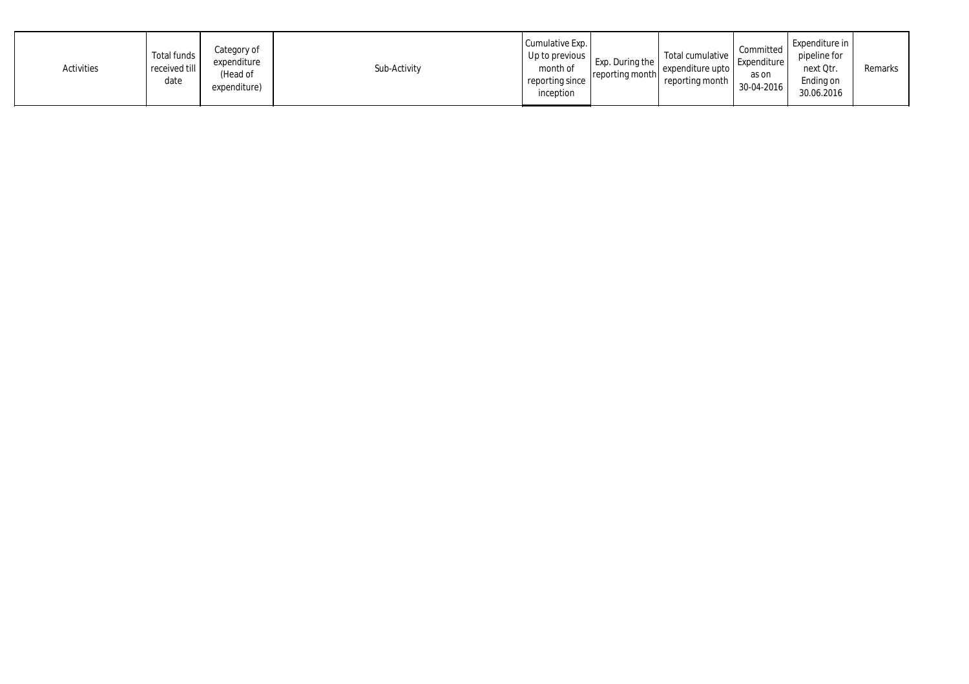| Activities | Total funds<br>received till<br>date | Category of<br>expenditure<br>(Head of<br>expenditure) | Sub-Activity | Cumulative Exp.<br>Up to previous  <br>month of<br>reporting since<br>inception | Exp. During the<br>reporting month | Total cumulative<br>expenditure upto<br>reporting month | Committed<br>Expenditure<br>as on<br>30-04-2016 | Expenditure in<br>pipeline for<br>next Qtr.<br>Ending on<br>30.06.2016 | Remarks |
|------------|--------------------------------------|--------------------------------------------------------|--------------|---------------------------------------------------------------------------------|------------------------------------|---------------------------------------------------------|-------------------------------------------------|------------------------------------------------------------------------|---------|
|------------|--------------------------------------|--------------------------------------------------------|--------------|---------------------------------------------------------------------------------|------------------------------------|---------------------------------------------------------|-------------------------------------------------|------------------------------------------------------------------------|---------|